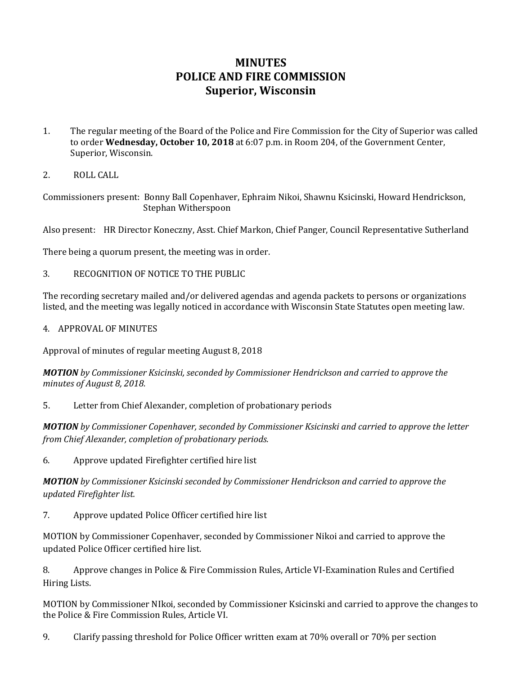## **MINUTES POLICE AND FIRE COMMISSION Superior, Wisconsin**

- 1. The regular meeting of the Board of the Police and Fire Commission for the City of Superior was called to order **Wednesday, October 10, 2018** at 6:07 p.m. in Room 204, of the Government Center, Superior, Wisconsin.
- 2. ROLL CALL

Commissioners present: Bonny Ball Copenhaver, Ephraim Nikoi, Shawnu Ksicinski, Howard Hendrickson, Stephan Witherspoon

Also present: HR Director Koneczny, Asst. Chief Markon, Chief Panger, Council Representative Sutherland

There being a quorum present, the meeting was in order.

3. RECOGNITION OF NOTICE TO THE PUBLIC

The recording secretary mailed and/or delivered agendas and agenda packets to persons or organizations listed, and the meeting was legally noticed in accordance with Wisconsin State Statutes open meeting law.

4. APPROVAL OF MINUTES

Approval of minutes of regular meeting August 8, 2018

*MOTION by Commissioner Ksicinski, seconded by Commissioner Hendrickson and carried to approve the minutes of August 8, 2018.*

5. Letter from Chief Alexander, completion of probationary periods

*MOTION by Commissioner Copenhaver, seconded by Commissioner Ksicinski and carried to approve the letter from Chief Alexander, completion of probationary periods.*

6. Approve updated Firefighter certified hire list

*MOTION by Commissioner Ksicinski seconded by Commissioner Hendrickson and carried to approve the updated Firefighter list.*

7. Approve updated Police Officer certified hire list

MOTION by Commissioner Copenhaver, seconded by Commissioner Nikoi and carried to approve the updated Police Officer certified hire list.

8. Approve changes in Police & Fire Commission Rules, Article VI-Examination Rules and Certified Hiring Lists.

MOTION by Commissioner NIkoi, seconded by Commissioner Ksicinski and carried to approve the changes to the Police & Fire Commission Rules, Article VI.

9. Clarify passing threshold for Police Officer written exam at 70% overall or 70% per section